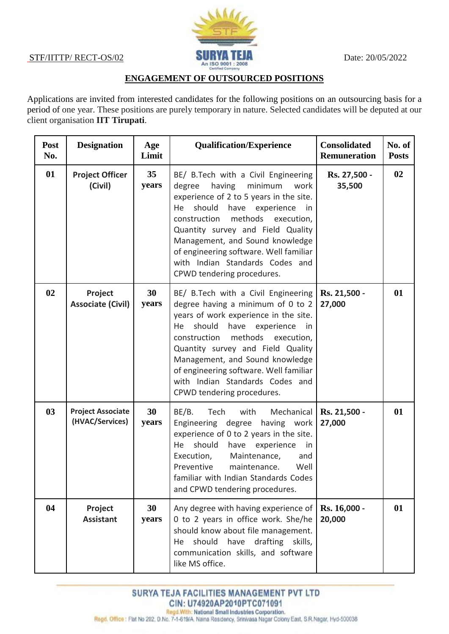

## **ENGAGEMENT OF OUTSOURCED POSITIONS**

Applications are invited from interested candidates for the following positions on an outsourcing basis for a period of one year. These positions are purely temporary in nature. Selected candidates will be deputed at our client organisation **IIT Tirupati**.

| Post<br>No. | <b>Designation</b>                          | Age<br>Limit | <b>Qualification/Experience</b>                                                                                                                                                                                                                                                                                                                                                      | <b>Consolidated</b><br><b>Remuneration</b> | No. of<br><b>Posts</b> |
|-------------|---------------------------------------------|--------------|--------------------------------------------------------------------------------------------------------------------------------------------------------------------------------------------------------------------------------------------------------------------------------------------------------------------------------------------------------------------------------------|--------------------------------------------|------------------------|
| 01          | <b>Project Officer</b><br>(Civil)           | 35<br>years  | BE/ B.Tech with a Civil Engineering<br>having<br>minimum<br>degree<br>work<br>experience of 2 to 5 years in the site.<br>should<br>have experience in<br>He<br>methods execution,<br>construction<br>Quantity survey and Field Quality<br>Management, and Sound knowledge<br>of engineering software. Well familiar<br>with Indian Standards Codes and<br>CPWD tendering procedures. | Rs. 27,500 -<br>35,500                     | 02                     |
| 02          | Project<br><b>Associate (Civil)</b>         | 30<br>years  | BE/ B.Tech with a Civil Engineering<br>degree having a minimum of 0 to 2<br>years of work experience in the site.<br>should<br>have experience<br>He<br>in.<br>construction<br>methods execution,<br>Quantity survey and Field Quality<br>Management, and Sound knowledge<br>of engineering software. Well familiar<br>with Indian Standards Codes and<br>CPWD tendering procedures. | Rs. 21,500 -<br>27,000                     | 01                     |
| 03          | <b>Project Associate</b><br>(HVAC/Services) | 30<br>years  | BE/B.<br>Tech<br>with<br>Mechanical<br>Engineering degree<br>having work<br>experience of 0 to 2 years in the site.<br>should<br>have experience<br>He<br>in<br>Execution,<br>Maintenance,<br>and<br>Preventive<br>Well<br>maintenance.<br>familiar with Indian Standards Codes<br>and CPWD tendering procedures.                                                                    | Rs. 21,500 -<br>27,000                     | 01                     |
| 04          | Project<br><b>Assistant</b>                 | 30<br>years  | Any degree with having experience of<br>0 to 2 years in office work. She/he<br>should know about file management.<br>should<br>have drafting skills,<br>He<br>communication skills, and software<br>like MS office.                                                                                                                                                                  | Rs. 16,000 -<br>20,000                     | 01                     |